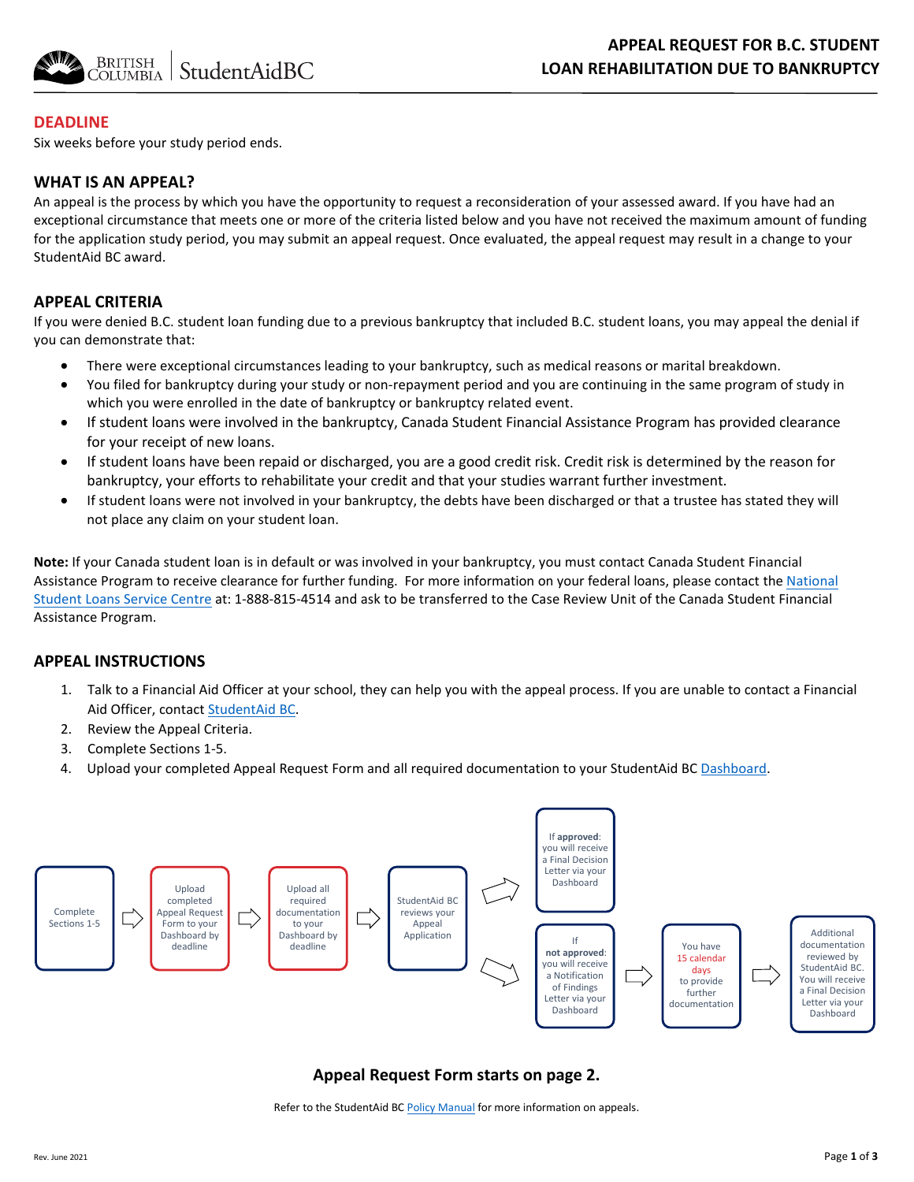

## **DEADLINE**

Six weeks before your study period ends.

#### **WHAT IS AN APPEAL?**

An appeal is the process by which you have the opportunity to request a reconsideration of your assessed award. If you have had an exceptional circumstance that meets one or more of the criteria listed below and you have not received the maximum amount of funding for the application study period, you may submit an appeal request. Once evaluated, the appeal request may result in a change to your StudentAid BC award.

## **APPEAL CRITERIA**

If you were denied B.C. student loan funding due to a previous bankruptcy that included B.C. student loans, you may appeal the denial if you can demonstrate that:

- There were exceptional circumstances leading to your bankruptcy, such as medical reasons or marital breakdown.
- You filed for bankruptcy during your study or non-repayment period and you are continuing in the same program of study in which you were enrolled in the date of bankruptcy or bankruptcy related event.
- If student loans were involved in the bankruptcy, Canada Student Financial Assistance Program has provided clearance for your receipt of new loans.
- If student loans have been repaid or discharged, you are a good credit risk. Credit risk is determined by the reason for bankruptcy, your efforts to rehabilitate your credit and that your studies warrant further investment.
- If student loans were not involved in your bankruptcy, the debts have been discharged or that a trustee has stated they will not place any claim on your student loan.

**Note:** If your Canada student loan is in default or was involved in your bankruptcy, you must contact Canada Student Financial Assistance Program to receive clearance for further funding. For more information on your federal loans, please contact the National Student Loans Service Centre at: [1-888-815-4514 and ask to be transferred to the Case Review Unit of the Canada Student](https://csnpe-nslsc.cibletudes-canlearn.ca/Eng/Default.aspx) Financial Assistance Program.

## **APPEAL INSTRUCTIONS**

- 1. Talk to a Financial Aid Officer at your school, they can help you with the appeal process. If you are unable to contact a Financial Aid Officer, contac[t StudentAid BC.](https://studentaidbc.ca/contact-information)
- 2. Review the Appeal Criteria.
- 3. Complete Sections 1-5.
- 4. Upload your completed Appeal Request Form and all required documentation to your StudentAid BC [Dashboard.](https://studentaidbc.ca/dashboard)



## **Appeal Request Form starts on page 2.**

Refer to the StudentAid BC [Policy Manual](https://studentaidbc.ca/institution-officials) for more information on appeals.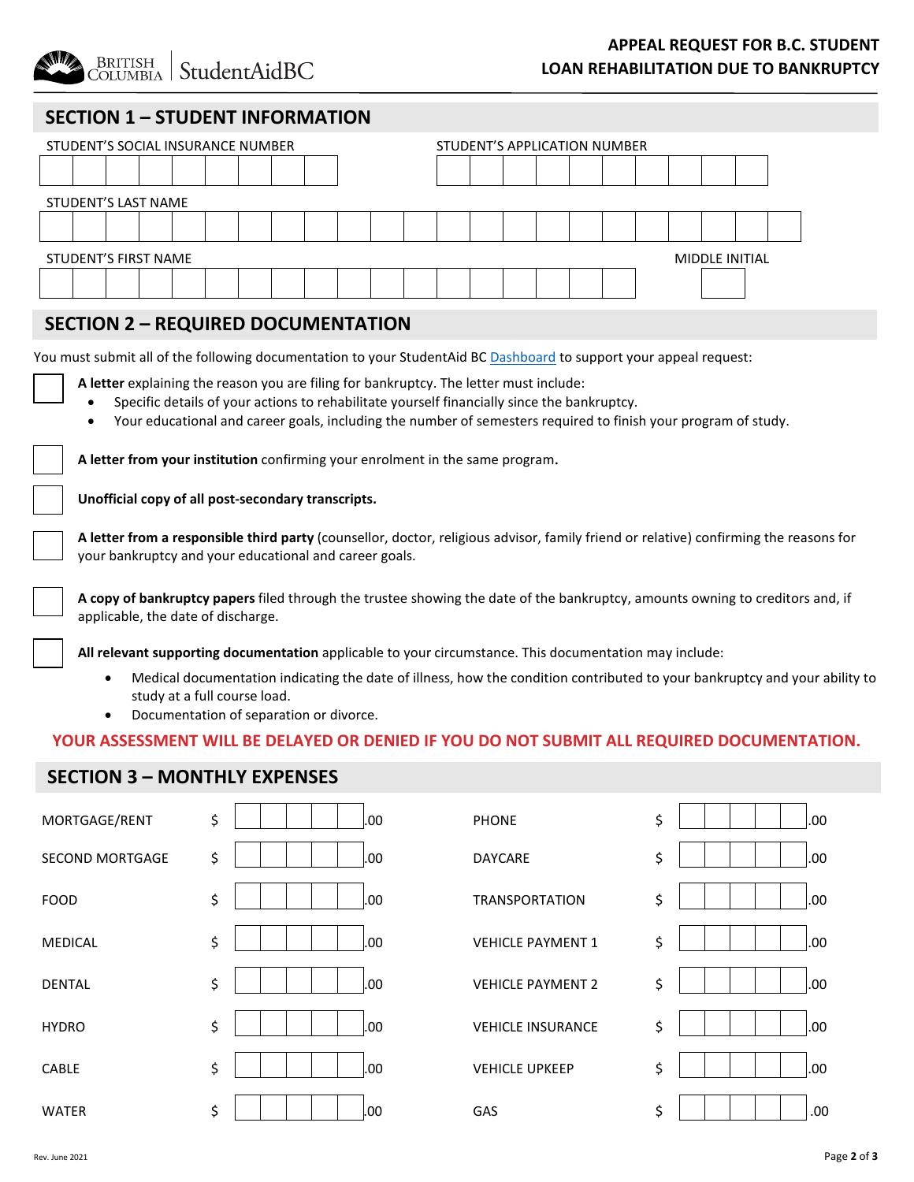**BRITISH** StudentAidBC COLUMBIA

# **APPEAL REQUEST FOR B.C. STUDENT LOAN REHABILITATION DUE TO BANKRUPTCY**

# **SECTION 1 – STUDENT INFORMATION**

|                                               | STUDENT'S SOCIAL INSURANCE NUMBER |  |  |  |  |  |  |  |  |  |  | STUDENT'S APPLICATION NUMBER |  |  |  |  |  |  |  |  |  |
|-----------------------------------------------|-----------------------------------|--|--|--|--|--|--|--|--|--|--|------------------------------|--|--|--|--|--|--|--|--|--|
|                                               |                                   |  |  |  |  |  |  |  |  |  |  |                              |  |  |  |  |  |  |  |  |  |
|                                               | <b>STUDENT'S LAST NAME</b>        |  |  |  |  |  |  |  |  |  |  |                              |  |  |  |  |  |  |  |  |  |
|                                               |                                   |  |  |  |  |  |  |  |  |  |  |                              |  |  |  |  |  |  |  |  |  |
| STUDENT'S FIRST NAME<br><b>MIDDLE INITIAL</b> |                                   |  |  |  |  |  |  |  |  |  |  |                              |  |  |  |  |  |  |  |  |  |
|                                               |                                   |  |  |  |  |  |  |  |  |  |  |                              |  |  |  |  |  |  |  |  |  |

## **SECTION 2 – REQUIRED DOCUMENTATION**

You must submit all of the following documentation to your StudentAid BC [Dashboard](https://studentaidbc.ca/dashboard) to support your appeal request:

- **A letter** explaining the reason you are filing for bankruptcy. The letter must include:
	- Specific details of your actions to rehabilitate yourself financially since the bankruptcy.
	- Your educational and career goals, including the number of semesters required to finish your program of study.

**A letter from your institution** confirming your enrolment in the same program.

**Unofficial copy of all post-secondary transcripts.**

**A letter from a responsible third party** (counsellor, doctor, religious advisor, family friend or relative) confirming the reasons for your bankruptcy and your educational and career goals.

**A copy of bankruptcy papers** filed through the trustee showing the date of the bankruptcy, amounts owning to creditors and, if applicable, the date of discharge.

**All relevant supporting documentation** applicable to your circumstance. This documentation may include:

- Medical documentation indicating the date of illness, how the condition contributed to your bankruptcy and your ability to study at a full course load.
- Documentation of separation or divorce.

#### **YOUR ASSESSMENT WILL BE DELAYED OR DENIED IF YOU DO NOT SUBMIT ALL REQUIRED DOCUMENTATION.**

## **SECTION 3 – MONTHLY EXPENSES**

| MORTGAGE/RENT          | \$<br>.00 | <b>PHONE</b>             | \$<br>.00 |
|------------------------|-----------|--------------------------|-----------|
| <b>SECOND MORTGAGE</b> | \$<br>.00 | DAYCARE                  | \$<br>.00 |
| <b>FOOD</b>            | \$<br>.00 | <b>TRANSPORTATION</b>    | \$<br>.00 |
| MEDICAL                | \$<br>.00 | <b>VEHICLE PAYMENT 1</b> | \$<br>.00 |
| <b>DENTAL</b>          | \$<br>.00 | <b>VEHICLE PAYMENT 2</b> | \$<br>.00 |
| <b>HYDRO</b>           | \$<br>.00 | <b>VEHICLE INSURANCE</b> | \$<br>.00 |
| CABLE                  | \$<br>.00 | <b>VEHICLE UPKEEP</b>    | \$<br>.00 |
| <b>WATER</b>           | \$<br>.00 | GAS                      | \$<br>.00 |